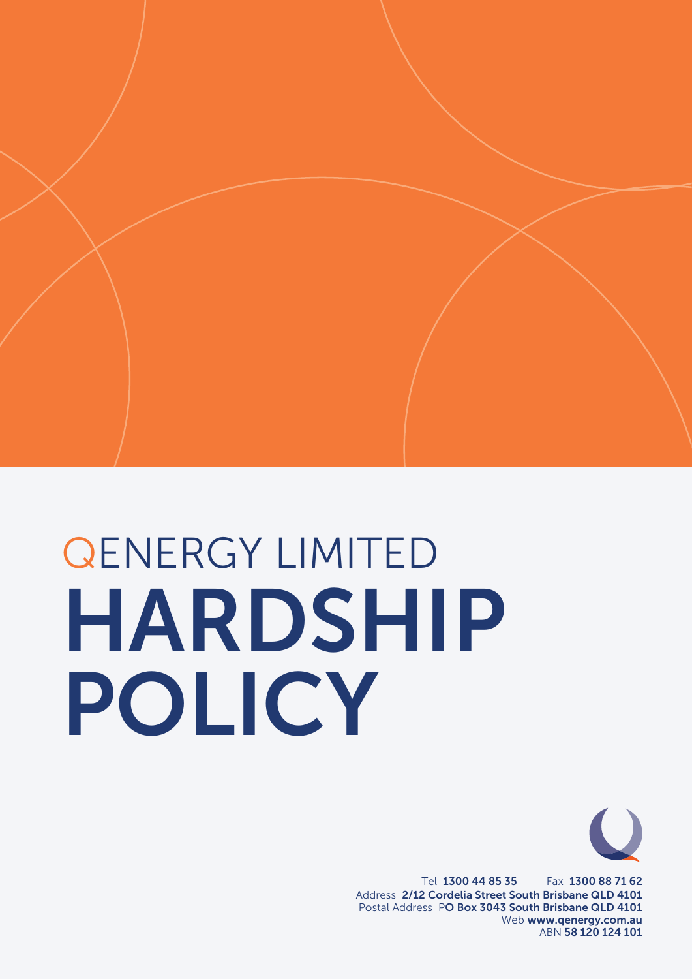# HARDSHIP POLICY QENERGY LIMITED



Tel 1300 44 85 35 Fax 1300 88 71 62 Address 2/12 Cordelia Street South Brisbane QLD 4101 Postal Address PO Box 3043 South Brisbane QLD 4101 Web www.qenergy.com.au ABN 58 120 124 101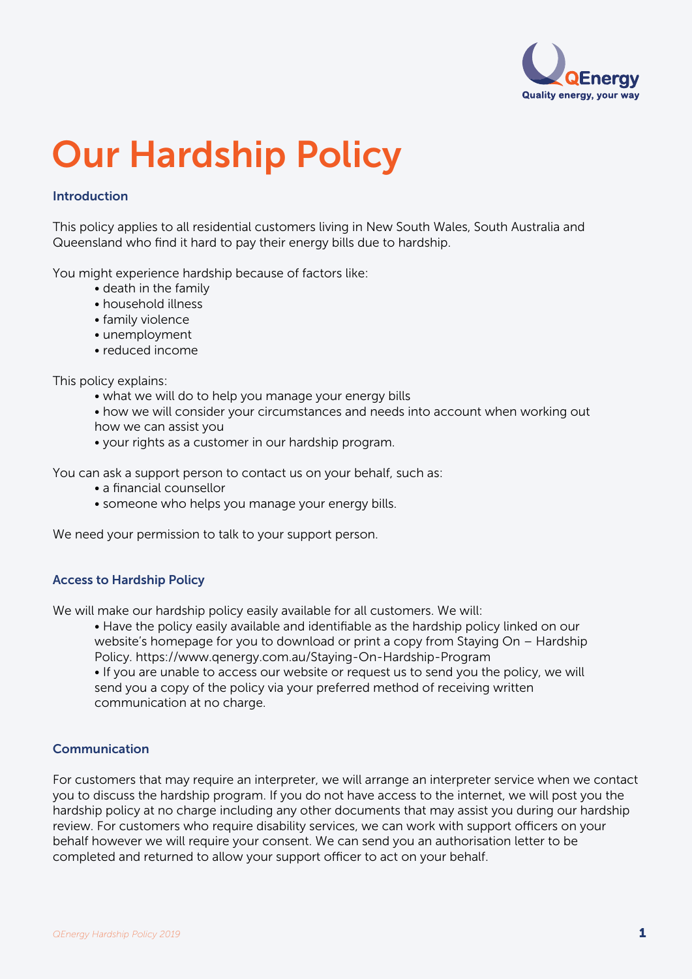

# Our Hardship Policy

# Introduction

This policy applies to all residential customers living in New South Wales, South Australia and Queensland who find it hard to pay their energy bills due to hardship.

You might experience hardship because of factors like:

- death in the family
- household illness
- family violence
- unemployment
- reduced income

This policy explains:

- what we will do to help you manage your energy bills
- how we will consider your circumstances and needs into account when working out how we can assist you
- your rights as a customer in our hardship program.

You can ask a support person to contact us on your behalf, such as:

- a financial counsellor
- someone who helps you manage your energy bills.

We need your permission to talk to your support person.

# Access to Hardship Policy

We will make our hardship policy easily available for all customers. We will:

 • Have the policy easily available and identifiable as the hardship policy linked on our website's homepage for you to download or print a copy from Staying On – Hardship Policy. https://www.qenergy.com.au/Staying-On-Hardship-Program • If you are unable to access our website or request us to send you the policy, we will send you a copy of the policy via your preferred method of receiving written communication at no charge.

# Communication

For customers that may require an interpreter, we will arrange an interpreter service when we contact you to discuss the hardship program. If you do not have access to the internet, we will post you the hardship policy at no charge including any other documents that may assist you during our hardship review. For customers who require disability services, we can work with support officers on your behalf however we will require your consent. We can send you an authorisation letter to be completed and returned to allow your support officer to act on your behalf.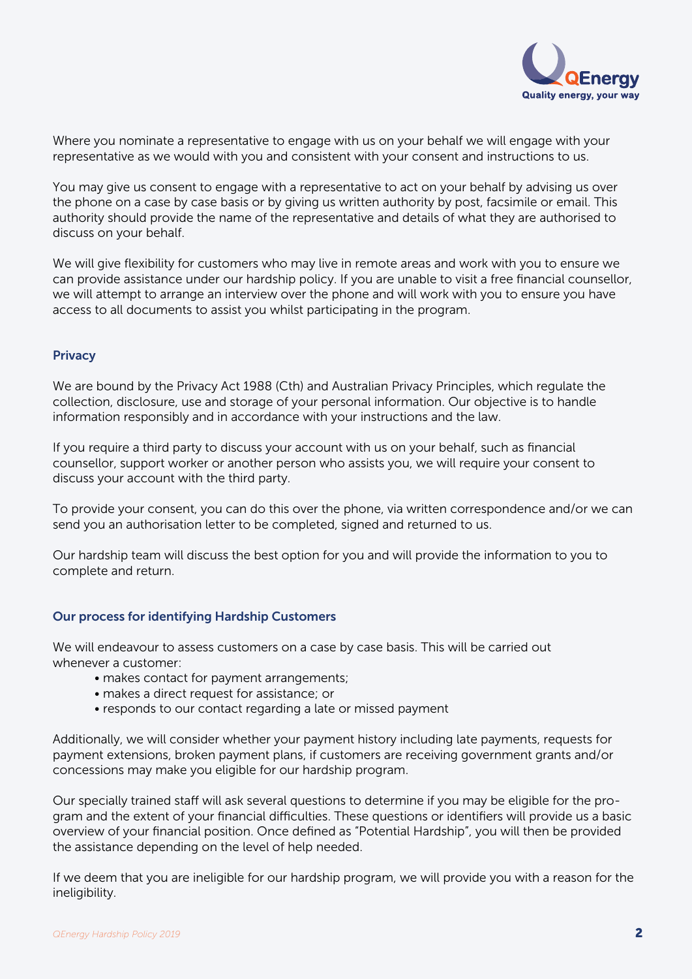

Where you nominate a representative to engage with us on your behalf we will engage with your representative as we would with you and consistent with your consent and instructions to us.

You may give us consent to engage with a representative to act on your behalf by advising us over the phone on a case by case basis or by giving us written authority by post, facsimile or email. This authority should provide the name of the representative and details of what they are authorised to discuss on your behalf.

We will give flexibility for customers who may live in remote areas and work with you to ensure we can provide assistance under our hardship policy. If you are unable to visit a free financial counsellor, we will attempt to arrange an interview over the phone and will work with you to ensure you have access to all documents to assist you whilst participating in the program.

# **Privacy**

We are bound by the Privacy Act 1988 (Cth) and Australian Privacy Principles, which regulate the collection, disclosure, use and storage of your personal information. Our objective is to handle information responsibly and in accordance with your instructions and the law.

If you require a third party to discuss your account with us on your behalf, such as financial counsellor, support worker or another person who assists you, we will require your consent to discuss your account with the third party.

To provide your consent, you can do this over the phone, via written correspondence and/or we can send you an authorisation letter to be completed, signed and returned to us.

Our hardship team will discuss the best option for you and will provide the information to you to complete and return.

# Our process for identifying Hardship Customers

We will endeavour to assess customers on a case by case basis. This will be carried out whenever a customer:

- makes contact for payment arrangements;
- makes a direct request for assistance; or
- responds to our contact regarding a late or missed payment

Additionally, we will consider whether your payment history including late payments, requests for payment extensions, broken payment plans, if customers are receiving government grants and/or concessions may make you eligible for our hardship program.

Our specially trained staff will ask several questions to determine if you may be eligible for the program and the extent of your financial difficulties. These questions or identifiers will provide us a basic overview of your financial position. Once defined as "Potential Hardship", you will then be provided the assistance depending on the level of help needed.

If we deem that you are ineligible for our hardship program, we will provide you with a reason for the ineligibility.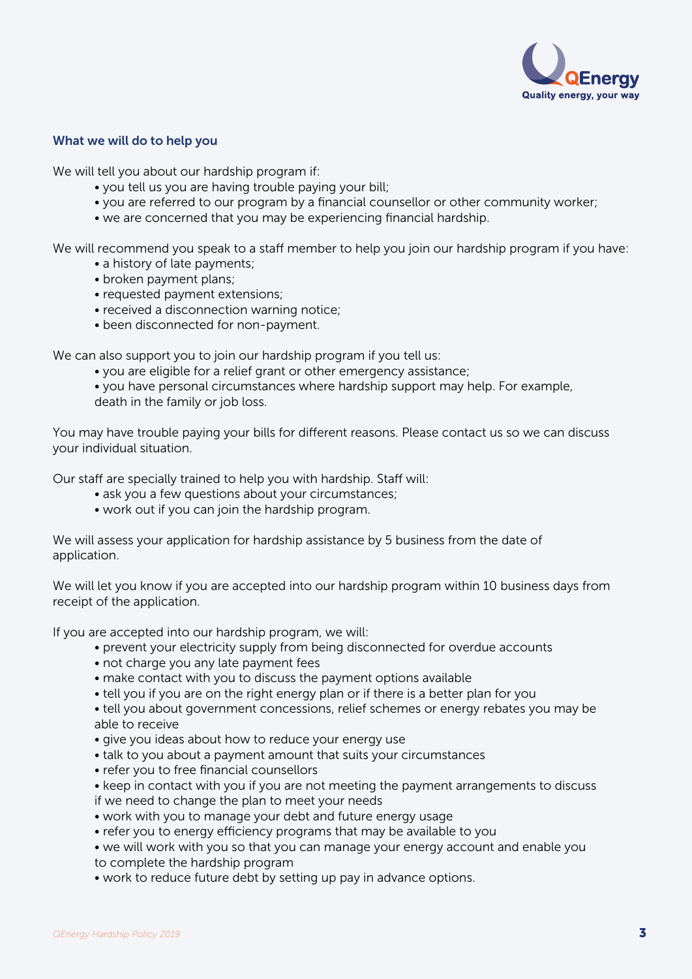

# What we will do to help you

We will tell you about our hardship program if:

- you tell us you are having trouble paying your bill;
- you are referred to our program by a financial counsellor or other community worker;
- we are concerned that you may be experiencing financial hardship.

We will recommend you speak to a staff member to help you join our hardship program if you have:

- a history of late payments;
- broken payment plans;
- requested payment extensions;
- received a disconnection warning notice;
- been disconnected for non-payment.

We can also support you to join our hardship program if you tell us:

• you are eligible for a relief grant or other emergency assistance;

 • you have personal circumstances where hardship support may help. For example, death in the family or job loss.

You may have trouble paying your bills for different reasons. Please contact us so we can discuss your individual situation.

Our staff are specially trained to help you with hardship. Staff will:

- ask you a few questions about your circumstances;
- work out if you can join the hardship program.

We will assess your application for hardship assistance by 5 business from the date of application.

We will let you know if you are accepted into our hardship program within 10 business days from receipt of the application.

If you are accepted into our hardship program, we will:

- prevent your electricity supply from being disconnected for overdue accounts
- not charge you any late payment fees
- make contact with you to discuss the payment options available
- tell you if you are on the right energy plan or if there is a better plan for you

 • tell you about government concessions, relief schemes or energy rebates you may be able to receive

- give you ideas about how to reduce your energy use
- talk to you about a payment amount that suits your circumstances
- refer you to free financial counsellors
- keep in contact with you if you are not meeting the payment arrangements to discuss if we need to change the plan to meet your needs
- work with you to manage your debt and future energy usage
- refer you to energy efficiency programs that may be available to you
- we will work with you so that you can manage your energy account and enable you to complete the hardship program
- work to reduce future debt by setting up pay in advance options.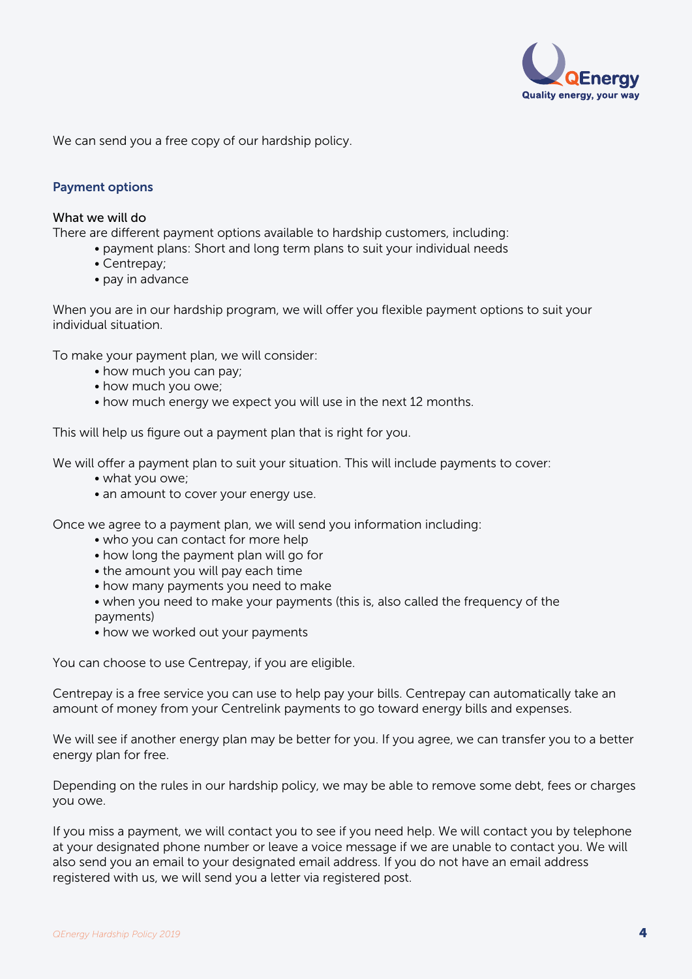

We can send you a free copy of our hardship policy.

# Payment options

#### What we will do

There are different payment options available to hardship customers, including:

- payment plans: Short and long term plans to suit your individual needs
- Centrepay;
- pay in advance

When you are in our hardship program, we will offer you flexible payment options to suit your individual situation.

To make your payment plan, we will consider:

- how much you can pay;
- how much you owe;
- how much energy we expect you will use in the next 12 months.

This will help us figure out a payment plan that is right for you.

We will offer a payment plan to suit your situation. This will include payments to cover:

- what you owe;
- an amount to cover your energy use.

Once we agree to a payment plan, we will send you information including:

- who you can contact for more help
- how long the payment plan will go for
- the amount you will pay each time
- how many payments you need to make
- when you need to make your payments (this is, also called the frequency of the payments)
- how we worked out your payments

You can choose to use Centrepay, if you are eligible.

Centrepay is a free service you can use to help pay your bills. Centrepay can automatically take an amount of money from your Centrelink payments to go toward energy bills and expenses.

We will see if another energy plan may be better for you. If you agree, we can transfer you to a better energy plan for free.

Depending on the rules in our hardship policy, we may be able to remove some debt, fees or charges you owe.

If you miss a payment, we will contact you to see if you need help. We will contact you by telephone at your designated phone number or leave a voice message if we are unable to contact you. We will also send you an email to your designated email address. If you do not have an email address registered with us, we will send you a letter via registered post.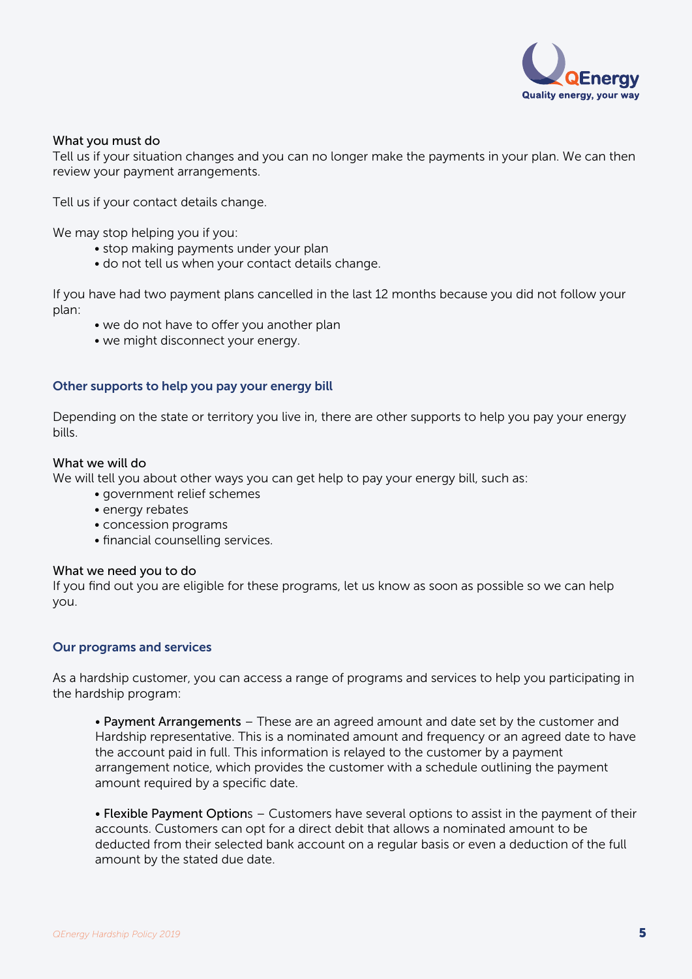

# What you must do

Tell us if your situation changes and you can no longer make the payments in your plan. We can then review your payment arrangements.

Tell us if your contact details change.

We may stop helping you if you:

- stop making payments under your plan
- do not tell us when your contact details change.

If you have had two payment plans cancelled in the last 12 months because you did not follow your plan:

- we do not have to offer you another plan
- we might disconnect your energy.

# Other supports to help you pay your energy bill

Depending on the state or territory you live in, there are other supports to help you pay your energy bills.

# What we will do

We will tell you about other ways you can get help to pay your energy bill, such as:

- government relief schemes
- energy rebates
- concession programs
- financial counselling services.

#### What we need you to do

If you find out you are eligible for these programs, let us know as soon as possible so we can help you.

# Our programs and services

As a hardship customer, you can access a range of programs and services to help you participating in the hardship program:

• Payment Arrangements – These are an agreed amount and date set by the customer and Hardship representative. This is a nominated amount and frequency or an agreed date to have the account paid in full. This information is relayed to the customer by a payment arrangement notice, which provides the customer with a schedule outlining the payment amount required by a specific date.

• Flexible Payment Options – Customers have several options to assist in the payment of their accounts. Customers can opt for a direct debit that allows a nominated amount to be deducted from their selected bank account on a regular basis or even a deduction of the full amount by the stated due date.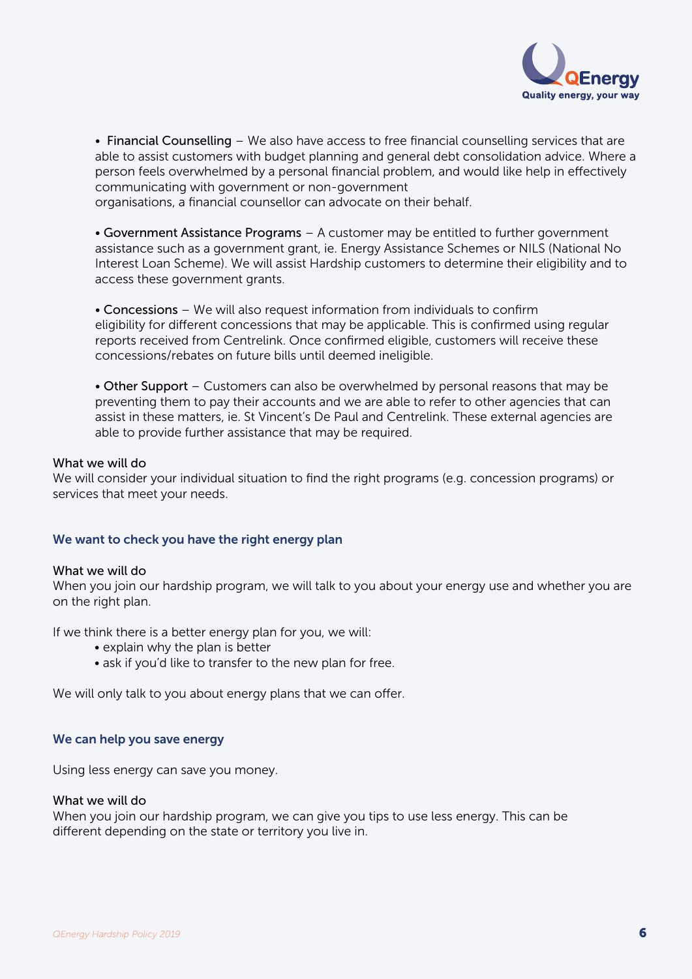

• Financial Counselling – We also have access to free financial counselling services that are able to assist customers with budget planning and general debt consolidation advice. Where a person feels overwhelmed by a personal financial problem, and would like help in effectively communicating with government or non-government

organisations, a financial counsellor can advocate on their behalf.

• Government Assistance Programs – A customer may be entitled to further government assistance such as a government grant, ie. Energy Assistance Schemes or NILS (National No Interest Loan Scheme). We will assist Hardship customers to determine their eligibility and to access these government grants.

• Concessions – We will also request information from individuals to confirm eligibility for different concessions that may be applicable. This is confirmed using regular reports received from Centrelink. Once confirmed eligible, customers will receive these concessions/rebates on future bills until deemed ineligible.

• Other Support – Customers can also be overwhelmed by personal reasons that may be preventing them to pay their accounts and we are able to refer to other agencies that can assist in these matters, ie. St Vincent's De Paul and Centrelink. These external agencies are able to provide further assistance that may be required.

#### What we will do

We will consider your individual situation to find the right programs (e.g. concession programs) or services that meet your needs.

# We want to check you have the right energy plan

#### What we will do

When you join our hardship program, we will talk to you about your energy use and whether you are on the right plan.

If we think there is a better energy plan for you, we will:

- explain why the plan is better
- ask if you'd like to transfer to the new plan for free.

We will only talk to you about energy plans that we can offer.

# We can help you save energy

Using less energy can save you money.

#### What we will do

When you join our hardship program, we can give you tips to use less energy. This can be different depending on the state or territory you live in.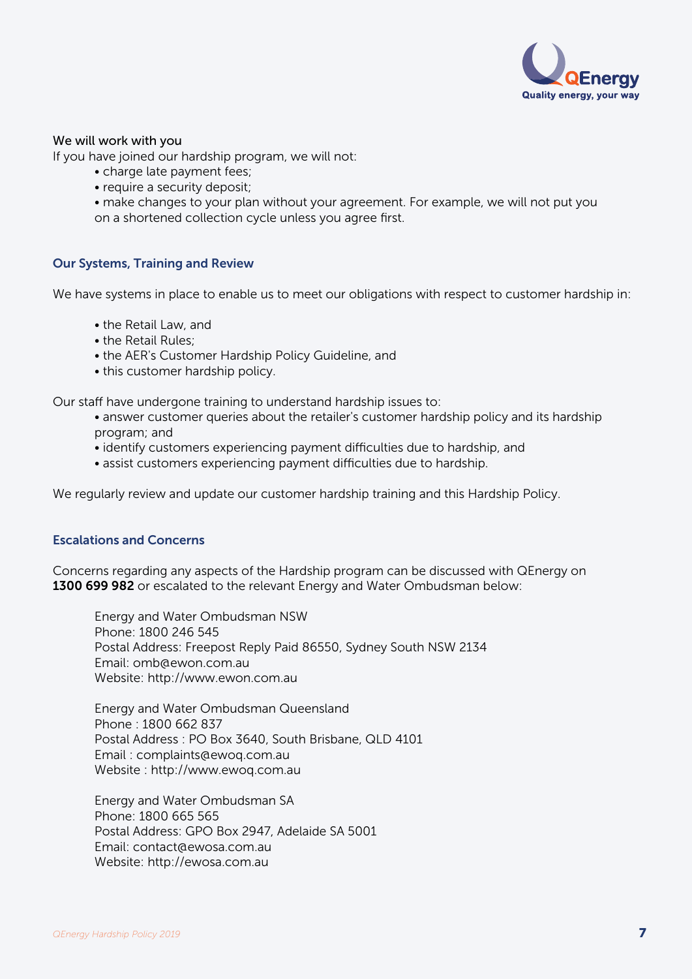

# We will work with you

If you have joined our hardship program, we will not:

- charge late payment fees;
- require a security deposit;

 • make changes to your plan without your agreement. For example, we will not put you on a shortened collection cycle unless you agree first.

# Our Systems, Training and Review

We have systems in place to enable us to meet our obligations with respect to customer hardship in:

- the Retail Law, and
- the Retail Rules;
- the AER's Customer Hardship Policy Guideline, and
- this customer hardship policy.

Our staff have undergone training to understand hardship issues to:

- answer customer queries about the retailer's customer hardship policy and its hardship program; and
- identify customers experiencing payment difficulties due to hardship, and
- assist customers experiencing payment difficulties due to hardship.

We regularly review and update our customer hardship training and this Hardship Policy.

# Escalations and Concerns

Concerns regarding any aspects of the Hardship program can be discussed with QEnergy on 1300 699 982 or escalated to the relevant Energy and Water Ombudsman below:

 Energy and Water Ombudsman NSW Phone: 1800 246 545 Postal Address: Freepost Reply Paid 86550, Sydney South NSW 2134 Email: omb@ewon.com.au Website: http://www.ewon.com.au

 Energy and Water Ombudsman Queensland Phone : 1800 662 837 Postal Address : PO Box 3640, South Brisbane, QLD 4101 Email : complaints@ewoq.com.au Website : http://www.ewoq.com.au

 Energy and Water Ombudsman SA Phone: 1800 665 565 Postal Address: GPO Box 2947, Adelaide SA 5001 Email: contact@ewosa.com.au Website: http://ewosa.com.au